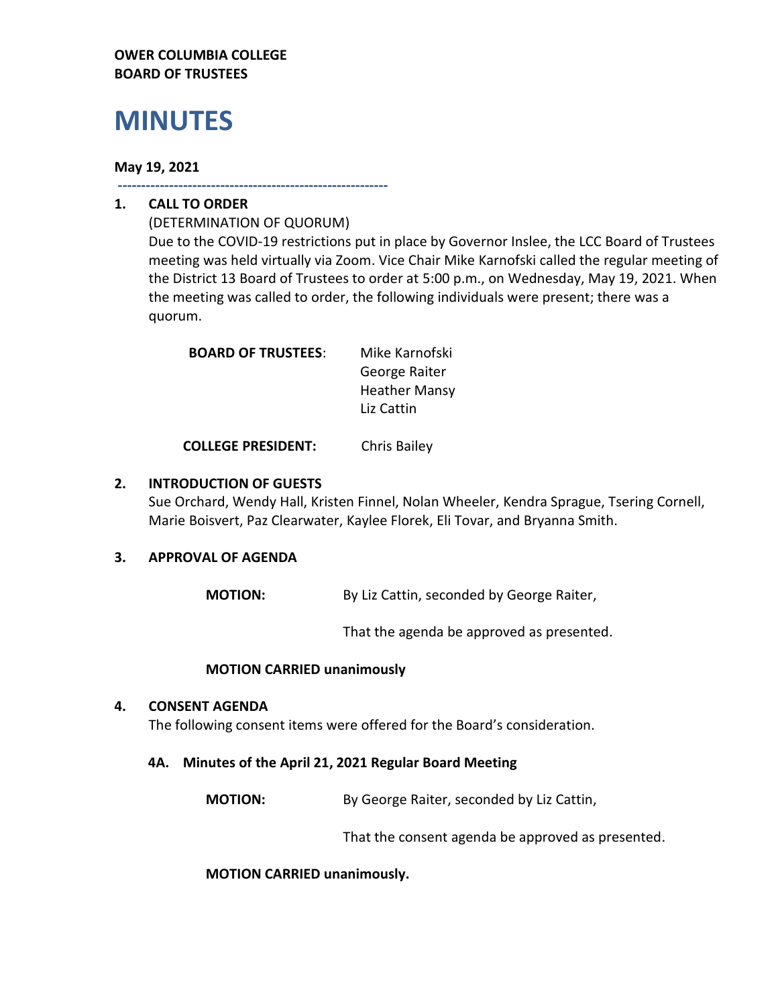#### **OWER COLUMBIA COLLEGE BOARD OF TRUSTEES**

# **MINUTES**

#### **May 19, 2021**

**----------------------------------------------------------**

# **1. CALL TO ORDER**

(DETERMINATION OF QUORUM) Due to the COVID-19 restrictions put in place by Governor Inslee, the LCC Board of Trustees meeting was held virtually via Zoom. Vice Chair Mike Karnofski called the regular meeting of the District 13 Board of Trustees to order at 5:00 p.m., on Wednesday, May 19, 2021. When the meeting was called to order, the following individuals were present; there was a quorum.

| <b>BOARD OF TRUSTEES:</b> | Mike Karnofski       |
|---------------------------|----------------------|
|                           | George Raiter        |
|                           | <b>Heather Mansy</b> |
|                           | Liz Cattin           |

**COLLEGE PRESIDENT:** Chris Bailey

### **2. INTRODUCTION OF GUESTS**

Sue Orchard, Wendy Hall, Kristen Finnel, Nolan Wheeler, Kendra Sprague, Tsering Cornell, Marie Boisvert, Paz Clearwater, Kaylee Florek, Eli Tovar, and Bryanna Smith.

# **3. APPROVAL OF AGENDA**

**MOTION:** By Liz Cattin, seconded by George Raiter,

That the agenda be approved as presented.

#### **MOTION CARRIED unanimously**

#### **4. CONSENT AGENDA**

The following consent items were offered for the Board's consideration.

#### **4A. Minutes of the April 21, 2021 Regular Board Meeting**

**MOTION:** By George Raiter, seconded by Liz Cattin,

That the consent agenda be approved as presented.

**MOTION CARRIED unanimously.**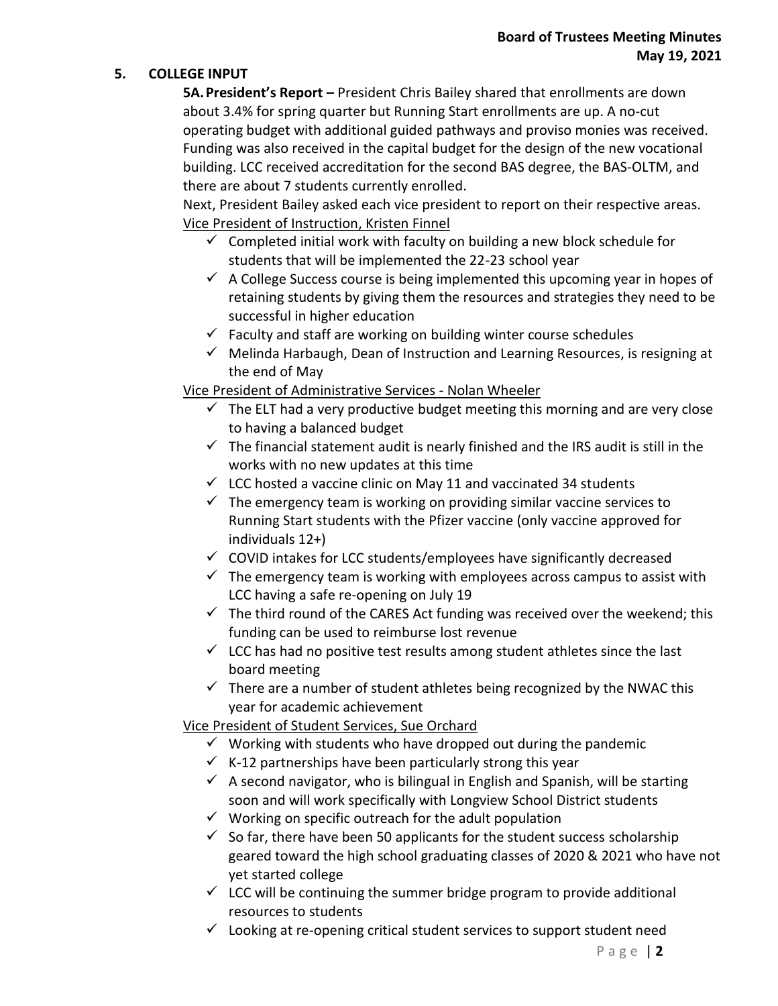#### **5. COLLEGE INPUT**

**5A.President's Report –** President Chris Bailey shared that enrollments are down about 3.4% for spring quarter but Running Start enrollments are up. A no-cut operating budget with additional guided pathways and proviso monies was received. Funding was also received in the capital budget for the design of the new vocational building. LCC received accreditation for the second BAS degree, the BAS-OLTM, and there are about 7 students currently enrolled.

Next, President Bailey asked each vice president to report on their respective areas. Vice President of Instruction, Kristen Finnel

- $\checkmark$  Completed initial work with faculty on building a new block schedule for students that will be implemented the 22-23 school year
- $\checkmark$  A College Success course is being implemented this upcoming year in hopes of retaining students by giving them the resources and strategies they need to be successful in higher education
- $\checkmark$  Faculty and staff are working on building winter course schedules
- $\checkmark$  Melinda Harbaugh, Dean of Instruction and Learning Resources, is resigning at the end of May

Vice President of Administrative Services - Nolan Wheeler

- $\checkmark$  The ELT had a very productive budget meeting this morning and are very close to having a balanced budget
- $\checkmark$  The financial statement audit is nearly finished and the IRS audit is still in the works with no new updates at this time
- $\checkmark$  LCC hosted a vaccine clinic on May 11 and vaccinated 34 students
- $\checkmark$  The emergency team is working on providing similar vaccine services to Running Start students with the Pfizer vaccine (only vaccine approved for individuals 12+)
- ✓ COVID intakes for LCC students/employees have significantly decreased
- $\checkmark$  The emergency team is working with employees across campus to assist with LCC having a safe re-opening on July 19
- $\checkmark$  The third round of the CARES Act funding was received over the weekend; this funding can be used to reimburse lost revenue
- $\checkmark$  LCC has had no positive test results among student athletes since the last board meeting
- $\checkmark$  There are a number of student athletes being recognized by the NWAC this year for academic achievement

# Vice President of Student Services, Sue Orchard

- $\checkmark$  Working with students who have dropped out during the pandemic
- $\checkmark$  K-12 partnerships have been particularly strong this year
- $\checkmark$  A second navigator, who is bilingual in English and Spanish, will be starting soon and will work specifically with Longview School District students
- $\checkmark$  Working on specific outreach for the adult population
- $\checkmark$  So far, there have been 50 applicants for the student success scholarship geared toward the high school graduating classes of 2020 & 2021 who have not yet started college
- $\checkmark$  LCC will be continuing the summer bridge program to provide additional resources to students
- $\checkmark$  Looking at re-opening critical student services to support student need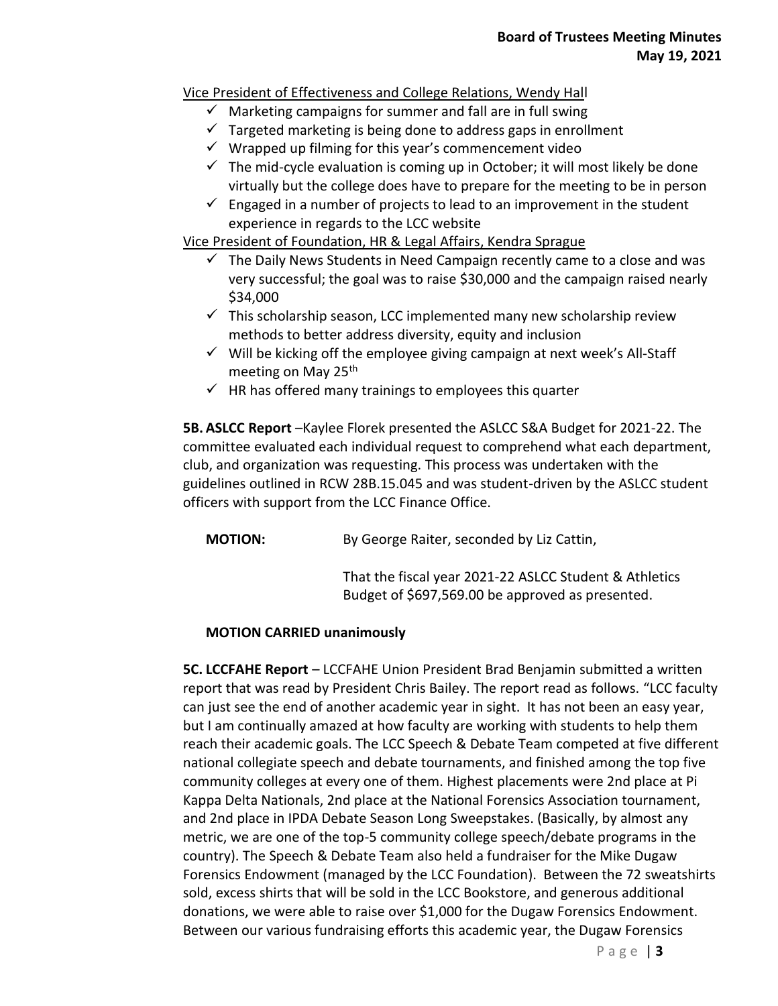# Vice President of Effectiveness and College Relations, Wendy Hall

- $\checkmark$  Marketing campaigns for summer and fall are in full swing
- $\checkmark$  Targeted marketing is being done to address gaps in enrollment
- $\checkmark$  Wrapped up filming for this year's commencement video
- $\checkmark$  The mid-cycle evaluation is coming up in October; it will most likely be done virtually but the college does have to prepare for the meeting to be in person
- $\checkmark$  Engaged in a number of projects to lead to an improvement in the student experience in regards to the LCC website

Vice President of Foundation, HR & Legal Affairs, Kendra Sprague

- $\checkmark$  The Daily News Students in Need Campaign recently came to a close and was very successful; the goal was to raise \$30,000 and the campaign raised nearly \$34,000
- $\checkmark$  This scholarship season, LCC implemented many new scholarship review methods to better address diversity, equity and inclusion
- $\checkmark$  Will be kicking off the employee giving campaign at next week's All-Staff meeting on May 25<sup>th</sup>
- $\checkmark$  HR has offered many trainings to employees this quarter

**5B. ASLCC Report** –Kaylee Florek presented the ASLCC S&A Budget for 2021-22. The committee evaluated each individual request to comprehend what each department, club, and organization was requesting. This process was undertaken with the guidelines outlined in RCW 28B.15.045 and was student-driven by the ASLCC student officers with support from the LCC Finance Office.

**MOTION:** By George Raiter, seconded by Liz Cattin,

That the fiscal year 2021-22 ASLCC Student & Athletics Budget of \$697,569.00 be approved as presented.

# **MOTION CARRIED unanimously**

**5C. LCCFAHE Report** – LCCFAHE Union President Brad Benjamin submitted a written report that was read by President Chris Bailey. The report read as follows. "LCC faculty can just see the end of another academic year in sight. It has not been an easy year, but I am continually amazed at how faculty are working with students to help them reach their academic goals. The LCC Speech & Debate Team competed at five different national collegiate speech and debate tournaments, and finished among the top five community colleges at every one of them. Highest placements were 2nd place at Pi Kappa Delta Nationals, 2nd place at the National Forensics Association tournament, and 2nd place in IPDA Debate Season Long Sweepstakes. (Basically, by almost any metric, we are one of the top-5 community college speech/debate programs in the country). The Speech & Debate Team also held a fundraiser for the Mike Dugaw Forensics Endowment (managed by the LCC Foundation). Between the 72 sweatshirts sold, excess shirts that will be sold in the LCC Bookstore, and generous additional donations, we were able to raise over \$1,000 for the Dugaw Forensics Endowment. Between our various fundraising efforts this academic year, the Dugaw Forensics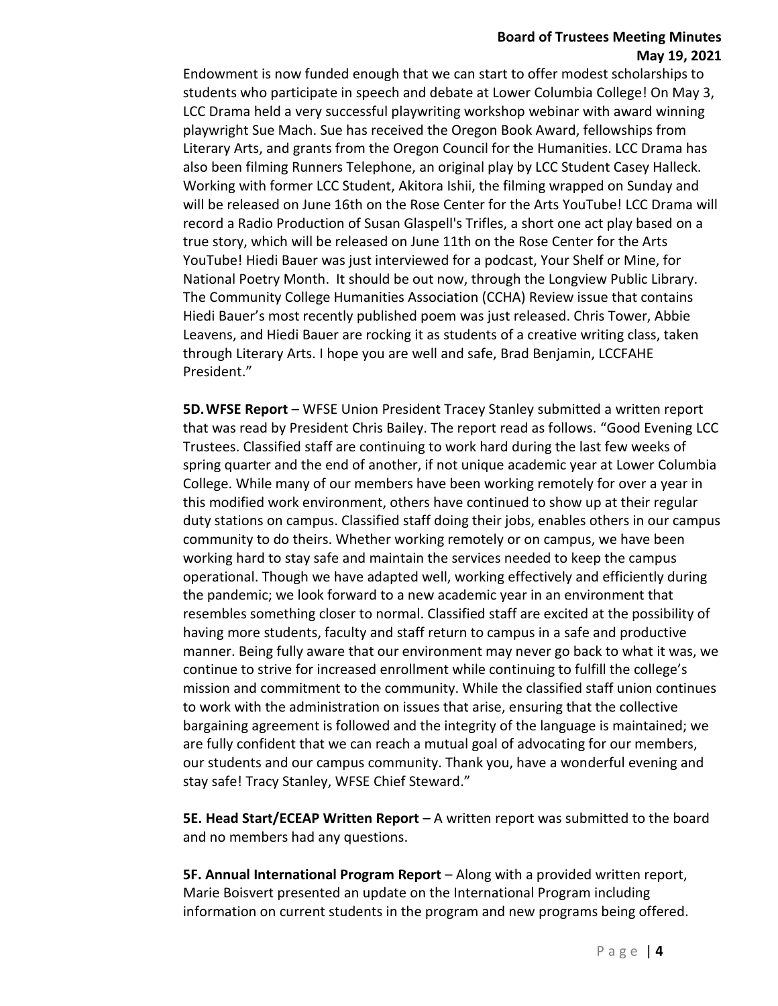#### **Board of Trustees Meeting Minutes May 19, 2021**

Endowment is now funded enough that we can start to offer modest scholarships to students who participate in speech and debate at Lower Columbia College! On May 3, LCC Drama held a very successful playwriting workshop webinar with award winning playwright Sue Mach. Sue has received the Oregon Book Award, fellowships from Literary Arts, and grants from the Oregon Council for the Humanities. LCC Drama has also been filming Runners Telephone, an original play by LCC Student Casey Halleck. Working with former LCC Student, Akitora Ishii, the filming wrapped on Sunday and will be released on June 16th on the Rose Center for the Arts YouTube! LCC Drama will record a Radio Production of Susan Glaspell's Trifles, a short one act play based on a true story, which will be released on June 11th on the Rose Center for the Arts YouTube! Hiedi Bauer was just interviewed for a podcast, Your Shelf or Mine, for National Poetry Month. It should be out now, through the Longview Public Library. The Community College Humanities Association (CCHA) Review issue that contains Hiedi Bauer's most recently published poem was just released. Chris Tower, Abbie Leavens, and Hiedi Bauer are rocking it as students of a creative writing class, taken through Literary Arts. I hope you are well and safe, Brad Benjamin, LCCFAHE President."

**5D.WFSE Report** – WFSE Union President Tracey Stanley submitted a written report that was read by President Chris Bailey. The report read as follows. "Good Evening LCC Trustees. Classified staff are continuing to work hard during the last few weeks of spring quarter and the end of another, if not unique academic year at Lower Columbia College. While many of our members have been working remotely for over a year in this modified work environment, others have continued to show up at their regular duty stations on campus. Classified staff doing their jobs, enables others in our campus community to do theirs. Whether working remotely or on campus, we have been working hard to stay safe and maintain the services needed to keep the campus operational. Though we have adapted well, working effectively and efficiently during the pandemic; we look forward to a new academic year in an environment that resembles something closer to normal. Classified staff are excited at the possibility of having more students, faculty and staff return to campus in a safe and productive manner. Being fully aware that our environment may never go back to what it was, we continue to strive for increased enrollment while continuing to fulfill the college's mission and commitment to the community. While the classified staff union continues to work with the administration on issues that arise, ensuring that the collective bargaining agreement is followed and the integrity of the language is maintained; we are fully confident that we can reach a mutual goal of advocating for our members, our students and our campus community. Thank you, have a wonderful evening and stay safe! Tracy Stanley, WFSE Chief Steward."

**5E. Head Start/ECEAP Written Report** – A written report was submitted to the board and no members had any questions.

**5F. Annual International Program Report** – Along with a provided written report, Marie Boisvert presented an update on the International Program including information on current students in the program and new programs being offered.